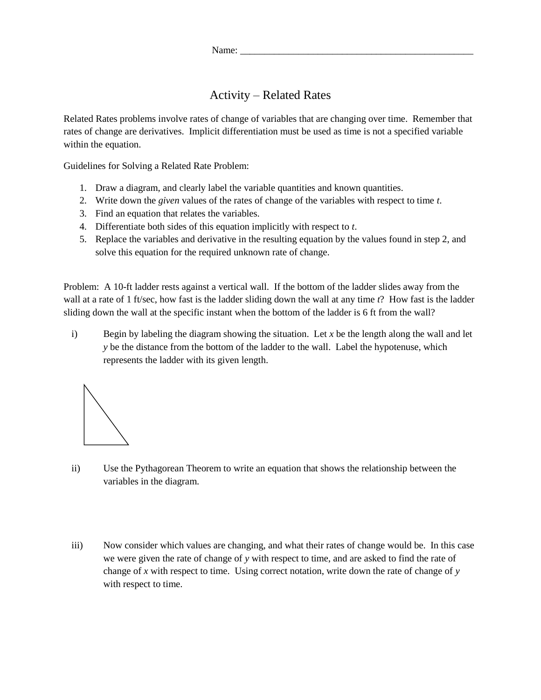## Activity – Related Rates

Related Rates problems involve rates of change of variables that are changing over time. Remember that rates of change are derivatives. Implicit differentiation must be used as time is not a specified variable within the equation.

Guidelines for Solving a Related Rate Problem:

- 1. Draw a diagram, and clearly label the variable quantities and known quantities.
- 2. Write down the *given* values of the rates of change of the variables with respect to time *t*.
- 3. Find an equation that relates the variables.
- 4. Differentiate both sides of this equation implicitly with respect to *t*.
- 5. Replace the variables and derivative in the resulting equation by the values found in step 2, and solve this equation for the required unknown rate of change.

Problem: A 10-ft ladder rests against a vertical wall. If the bottom of the ladder slides away from the wall at a rate of 1 ft/sec, how fast is the ladder sliding down the wall at any time *t*? How fast is the ladder sliding down the wall at the specific instant when the bottom of the ladder is 6 ft from the wall?

i) Begin by labeling the diagram showing the situation. Let  $x$  be the length along the wall and let *y* be the distance from the bottom of the ladder to the wall. Label the hypotenuse, which represents the ladder with its given length.



- ii) Use the Pythagorean Theorem to write an equation that shows the relationship between the variables in the diagram.
- iii) Now consider which values are changing, and what their rates of change would be. In this case we were given the rate of change of *y* with respect to time, and are asked to find the rate of change of *x* with respect to time. Using correct notation, write down the rate of change of *y* with respect to time.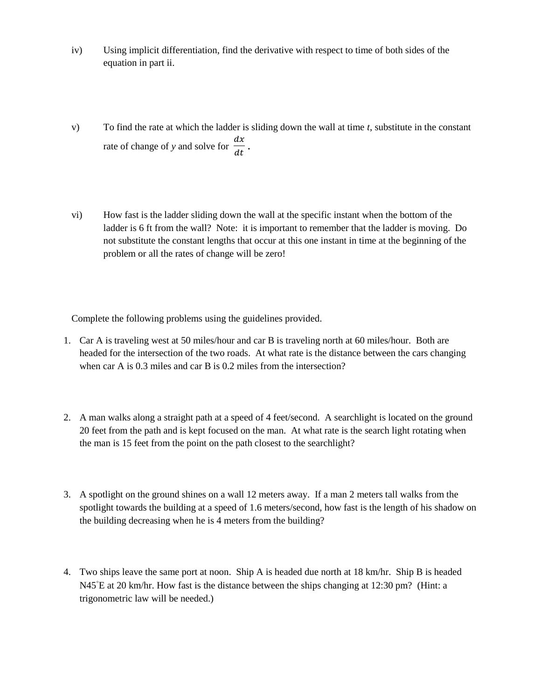- iv) Using implicit differentiation, find the derivative with respect to time of both sides of the equation in part ii.
- v) To find the rate at which the ladder is sliding down the wall at time *t*, substitute in the constant rate of change of *y* and solve for  $\frac{dx}{dt}$  $\frac{ax}{dt}$ .
- vi) How fast is the ladder sliding down the wall at the specific instant when the bottom of the ladder is 6 ft from the wall? Note: it is important to remember that the ladder is moving. Do not substitute the constant lengths that occur at this one instant in time at the beginning of the problem or all the rates of change will be zero!

Complete the following problems using the guidelines provided.

- 1. Car A is traveling west at 50 miles/hour and car B is traveling north at 60 miles/hour. Both are headed for the intersection of the two roads. At what rate is the distance between the cars changing when car A is 0.3 miles and car B is 0.2 miles from the intersection?
- 2. A man walks along a straight path at a speed of 4 feet/second. A searchlight is located on the ground 20 feet from the path and is kept focused on the man. At what rate is the search light rotating when the man is 15 feet from the point on the path closest to the searchlight?
- 3. A spotlight on the ground shines on a wall 12 meters away. If a man 2 meters tall walks from the spotlight towards the building at a speed of 1.6 meters/second, how fast is the length of his shadow on the building decreasing when he is 4 meters from the building?
- 4. Two ships leave the same port at noon. Ship A is headed due north at 18 km/hr. Ship B is headed N45<sup>°</sup>E at 20 km/hr. How fast is the distance between the ships changing at 12:30 pm? (Hint: a trigonometric law will be needed.)